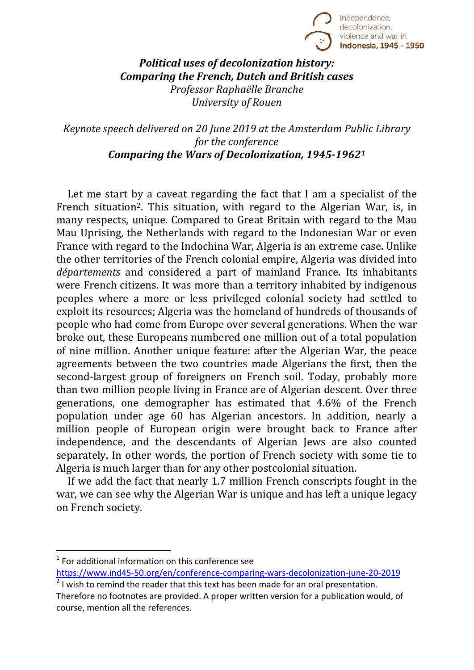

*Political uses of decolonization history: Comparing the French, Dutch and British cases Professor Raphaëlle Branche University of Rouen*

*Keynote speech delivered on 20 June 2019 at the Amsterdam Public Library for the conference Comparing the Wars of Decolonization, 1945-1962[1](#page-0-0)*

Let me start by a caveat regarding the fact that I am a specialist of the French situation<sup>[2](#page-0-1)</sup>. This situation, with regard to the Algerian War, is, in many respects, unique. Compared to Great Britain with regard to the Mau Mau Uprising, the Netherlands with regard to the Indonesian War or even France with regard to the Indochina War, Algeria is an extreme case. Unlike the other territories of the French colonial empire, Algeria was divided into *départements* and considered a part of mainland France. Its inhabitants were French citizens. It was more than a territory inhabited by indigenous peoples where a more or less privileged colonial society had settled to exploit its resources; Algeria was the homeland of hundreds of thousands of people who had come from Europe over several generations. When the war broke out, these Europeans numbered one million out of a total population of nine million. Another unique feature: after the Algerian War, the peace agreements between the two countries made Algerians the first, then the second-largest group of foreigners on French soil. Today, probably more than two million people living in France are of Algerian descent. Over three generations, one demographer has estimated that 4.6% of the French population under age 60 has Algerian ancestors. In addition, nearly a million people of European origin were brought back to France after independence, and the descendants of Algerian Jews are also counted separately. In other words, the portion of French society with some tie to Algeria is much larger than for any other postcolonial situation.

If we add the fact that nearly 1.7 million French conscripts fought in the war, we can see why the Algerian War is unique and has left a unique legacy on French society.

<span id="page-0-0"></span> $1$  For additional information on this conference see

<https://www.ind45-50.org/en/conference-comparing-wars-decolonization-june-20-2019>  $2$  I wish to remind the reader that this text has been made for an oral presentation.

<span id="page-0-1"></span>Therefore no footnotes are provided. A proper written version for a publication would, of course, mention all the references.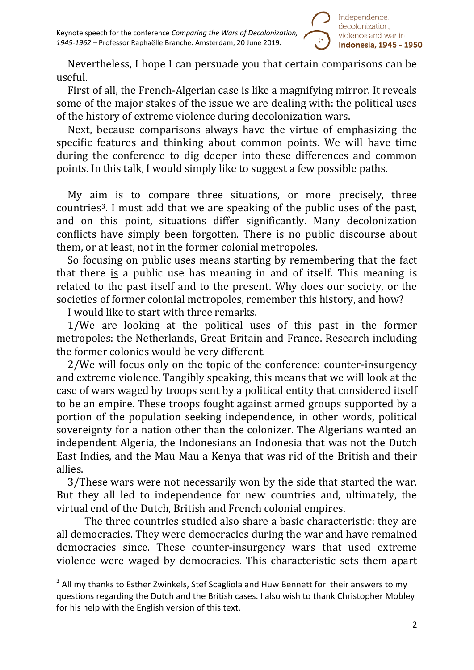Nevertheless, I hope I can persuade you that certain comparisons can be useful.

First of all, the French-Algerian case is like a magnifying mirror. It reveals some of the major stakes of the issue we are dealing with: the political uses of the history of extreme violence during decolonization wars.

Next, because comparisons always have the virtue of emphasizing the specific features and thinking about common points. We will have time during the conference to dig deeper into these differences and common points. In this talk, I would simply like to suggest a few possible paths.

My aim is to compare three situations, or more precisely, three countries[3.](#page-1-0) I must add that we are speaking of the public uses of the past, and on this point, situations differ significantly. Many decolonization conflicts have simply been forgotten. There is no public discourse about them, or at least, not in the former colonial metropoles.

So focusing on public uses means starting by remembering that the fact that there is a public use has meaning in and of itself. This meaning is related to the past itself and to the present. Why does our society, or the societies of former colonial metropoles, remember this history, and how?

I would like to start with three remarks.

1/We are looking at the political uses of this past in the former metropoles: the Netherlands, Great Britain and France. Research including the former colonies would be very different.

2/We will focus only on the topic of the conference: counter-insurgency and extreme violence. Tangibly speaking, this means that we will look at the case of wars waged by troops sent by a political entity that considered itself to be an empire. These troops fought against armed groups supported by a portion of the population seeking independence, in other words, political sovereignty for a nation other than the colonizer. The Algerians wanted an independent Algeria, the Indonesians an Indonesia that was not the Dutch East Indies, and the Mau Mau a Kenya that was rid of the British and their allies.

3/These wars were not necessarily won by the side that started the war. But they all led to independence for new countries and, ultimately, the virtual end of the Dutch, British and French colonial empires.

The three countries studied also share a basic characteristic: they are all democracies. They were democracies during the war and have remained democracies since. These counter-insurgency wars that used extreme violence were waged by democracies. This characteristic sets them apart

<span id="page-1-0"></span> $3$  All my thanks to Esther Zwinkels, Stef Scagliola and Huw Bennett for their answers to my questions regarding the Dutch and the British cases. I also wish to thank Christopher Mobley for his help with the English version of this text.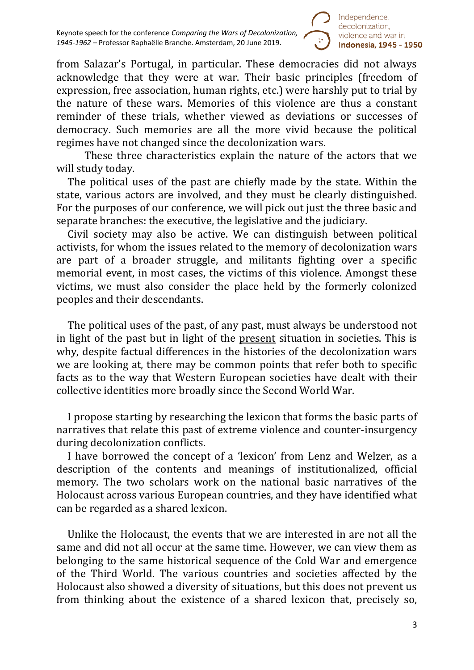

from Salazar's Portugal, in particular. These democracies did not always acknowledge that they were at war. Their basic principles (freedom of expression, free association, human rights, etc.) were harshly put to trial by the nature of these wars. Memories of this violence are thus a constant reminder of these trials, whether viewed as deviations or successes of democracy. Such memories are all the more vivid because the political regimes have not changed since the decolonization wars.

These three characteristics explain the nature of the actors that we will study today.

The political uses of the past are chiefly made by the state. Within the state, various actors are involved, and they must be clearly distinguished. For the purposes of our conference, we will pick out just the three basic and separate branches: the executive, the legislative and the judiciary.

Civil society may also be active. We can distinguish between political activists, for whom the issues related to the memory of decolonization wars are part of a broader struggle, and militants fighting over a specific memorial event, in most cases, the victims of this violence. Amongst these victims, we must also consider the place held by the formerly colonized peoples and their descendants.

The political uses of the past, of any past, must always be understood not in light of the past but in light of the present situation in societies. This is why, despite factual differences in the histories of the decolonization wars we are looking at, there may be common points that refer both to specific facts as to the way that Western European societies have dealt with their collective identities more broadly since the Second World War.

I propose starting by researching the lexicon that forms the basic parts of narratives that relate this past of extreme violence and counter-insurgency during decolonization conflicts.

I have borrowed the concept of a 'lexicon' from Lenz and Welzer, as a description of the contents and meanings of institutionalized, official memory. The two scholars work on the national basic narratives of the Holocaust across various European countries, and they have identified what can be regarded as a shared lexicon.

Unlike the Holocaust, the events that we are interested in are not all the same and did not all occur at the same time. However, we can view them as belonging to the same historical sequence of the Cold War and emergence of the Third World. The various countries and societies affected by the Holocaust also showed a diversity of situations, but this does not prevent us from thinking about the existence of a shared lexicon that, precisely so,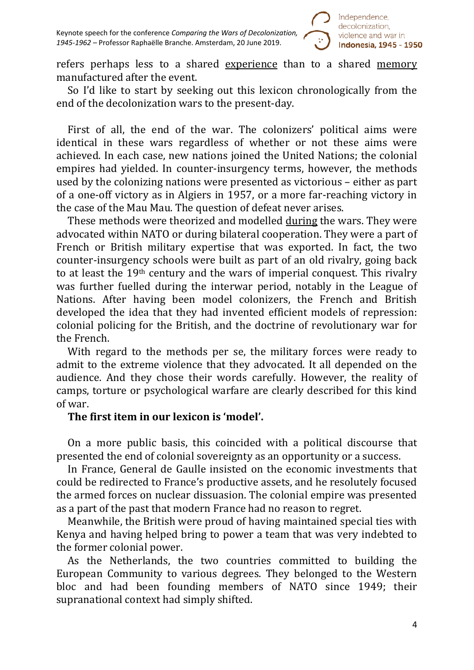

refers perhaps less to a shared experience than to a shared memory manufactured after the event.

So I'd like to start by seeking out this lexicon chronologically from the end of the decolonization wars to the present-day.

First of all, the end of the war. The colonizers' political aims were identical in these wars regardless of whether or not these aims were achieved. In each case, new nations joined the United Nations; the colonial empires had yielded. In counter-insurgency terms, however, the methods used by the colonizing nations were presented as victorious – either as part of a one-off victory as in Algiers in 1957, or a more far-reaching victory in the case of the Mau Mau. The question of defeat never arises.

These methods were theorized and modelled during the wars. They were advocated within NATO or during bilateral cooperation. They were a part of French or British military expertise that was exported. In fact, the two counter-insurgency schools were built as part of an old rivalry, going back to at least the 19th century and the wars of imperial conquest. This rivalry was further fuelled during the interwar period, notably in the League of Nations. After having been model colonizers, the French and British developed the idea that they had invented efficient models of repression: colonial policing for the British, and the doctrine of revolutionary war for the French.

With regard to the methods per se, the military forces were ready to admit to the extreme violence that they advocated. It all depended on the audience. And they chose their words carefully. However, the reality of camps, torture or psychological warfare are clearly described for this kind of war.

#### **The first item in our lexicon is 'model'.**

On a more public basis, this coincided with a political discourse that presented the end of colonial sovereignty as an opportunity or a success.

In France, General de Gaulle insisted on the economic investments that could be redirected to France's productive assets, and he resolutely focused the armed forces on nuclear dissuasion. The colonial empire was presented as a part of the past that modern France had no reason to regret.

Meanwhile, the British were proud of having maintained special ties with Kenya and having helped bring to power a team that was very indebted to the former colonial power.

As the Netherlands, the two countries committed to building the European Community to various degrees. They belonged to the Western bloc and had been founding members of NATO since 1949; their supranational context had simply shifted.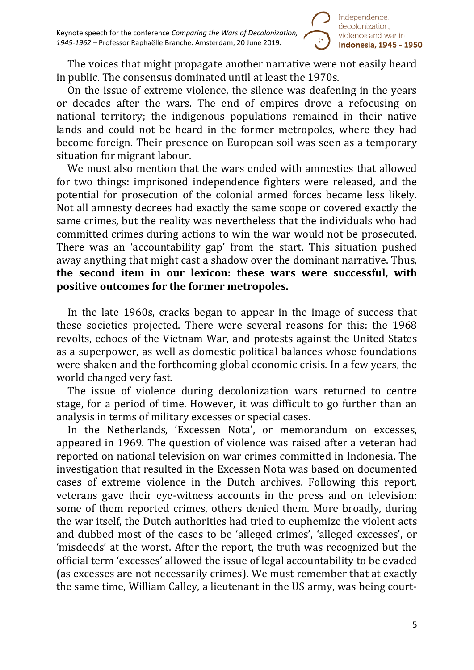

The voices that might propagate another narrative were not easily heard in public. The consensus dominated until at least the 1970s.

On the issue of extreme violence, the silence was deafening in the years or decades after the wars. The end of empires drove a refocusing on national territory; the indigenous populations remained in their native lands and could not be heard in the former metropoles, where they had become foreign. Their presence on European soil was seen as a temporary situation for migrant labour.

We must also mention that the wars ended with amnesties that allowed for two things: imprisoned independence fighters were released, and the potential for prosecution of the colonial armed forces became less likely. Not all amnesty decrees had exactly the same scope or covered exactly the same crimes, but the reality was nevertheless that the individuals who had committed crimes during actions to win the war would not be prosecuted. There was an 'accountability gap' from the start. This situation pushed away anything that might cast a shadow over the dominant narrative. Thus, **the second item in our lexicon: these wars were successful, with positive outcomes for the former metropoles.**

In the late 1960s, cracks began to appear in the image of success that these societies projected. There were several reasons for this: the 1968 revolts, echoes of the Vietnam War, and protests against the United States as a superpower, as well as domestic political balances whose foundations were shaken and the forthcoming global economic crisis. In a few years, the world changed very fast.

The issue of violence during decolonization wars returned to centre stage, for a period of time. However, it was difficult to go further than an analysis in terms of military excesses or special cases.

In the Netherlands, 'Excessen Nota', or memorandum on excesses, appeared in 1969. The question of violence was raised after a veteran had reported on national television on war crimes committed in Indonesia. The investigation that resulted in the Excessen Nota was based on documented cases of extreme violence in the Dutch archives. Following this report, veterans gave their eye-witness accounts in the press and on television: some of them reported crimes, others denied them. More broadly, during the war itself, the Dutch authorities had tried to euphemize the violent acts and dubbed most of the cases to be 'alleged crimes', 'alleged excesses', or 'misdeeds' at the worst. After the report, the truth was recognized but the official term 'excesses' allowed the issue of legal accountability to be evaded (as excesses are not necessarily crimes). We must remember that at exactly the same time, William Calley, a lieutenant in the US army, was being court-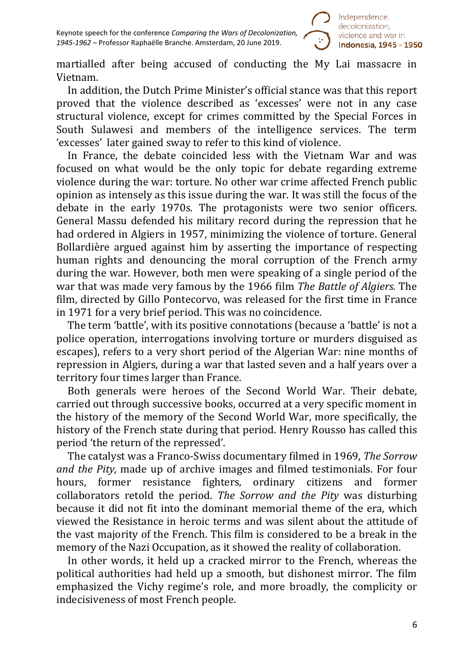

martialled after being accused of conducting the My Lai massacre in Vietnam.

In addition, the Dutch Prime Minister's official stance was that this report proved that the violence described as 'excesses' were not in any case structural violence, except for crimes committed by the Special Forces in South Sulawesi and members of the intelligence services. The term 'excesses' later gained sway to refer to this kind of violence.

In France, the debate coincided less with the Vietnam War and was focused on what would be the only topic for debate regarding extreme violence during the war: torture. No other war crime affected French public opinion as intensely as this issue during the war. It was still the focus of the debate in the early 1970s. The protagonists were two senior officers. General Massu defended his military record during the repression that he had ordered in Algiers in 1957, minimizing the violence of torture. General Bollardière argued against him by asserting the importance of respecting human rights and denouncing the moral corruption of the French army during the war. However, both men were speaking of a single period of the war that was made very famous by the 1966 film *The Battle of Algiers.* The film, directed by Gillo Pontecorvo, was released for the first time in France in 1971 for a very brief period. This was no coincidence.

The term 'battle', with its positive connotations (because a 'battle' is not a police operation, interrogations involving torture or murders disguised as escapes), refers to a very short period of the Algerian War: nine months of repression in Algiers, during a war that lasted seven and a half years over a territory four times larger than France.

Both generals were heroes of the Second World War. Their debate, carried out through successive books, occurred at a very specific moment in the history of the memory of the Second World War, more specifically, the history of the French state during that period. Henry Rousso has called this period 'the return of the repressed'.

The catalyst was a Franco-Swiss documentary filmed in 1969, *The Sorrow and the Pity,* made up of archive images and filmed testimonials. For four hours, former resistance fighters, ordinary citizens and former hours, former resistance fighters, ordinary citizens and former collaborators retold the period. *The Sorrow and the Pity* was disturbing because it did not fit into the dominant memorial theme of the era, which viewed the Resistance in heroic terms and was silent about the attitude of the vast majority of the French. This film is considered to be a break in the memory of the Nazi Occupation, as it showed the reality of collaboration.

In other words, it held up a cracked mirror to the French, whereas the political authorities had held up a smooth, but dishonest mirror. The film emphasized the Vichy regime's role, and more broadly, the complicity or indecisiveness of most French people.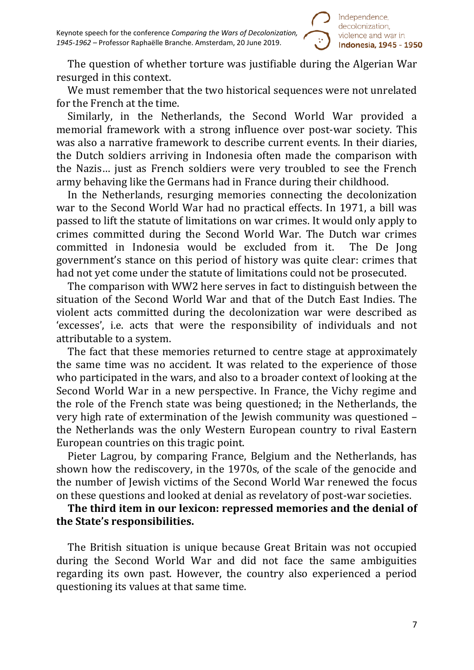

The question of whether torture was justifiable during the Algerian War resurged in this context.

We must remember that the two historical sequences were not unrelated for the French at the time.

Similarly, in the Netherlands, the Second World War provided a memorial framework with a strong influence over post-war society. This was also a narrative framework to describe current events. In their diaries, the Dutch soldiers arriving in Indonesia often made the comparison with the Nazis… just as French soldiers were very troubled to see the French army behaving like the Germans had in France during their childhood.

In the Netherlands, resurging memories connecting the decolonization war to the Second World War had no practical effects. In 1971, a bill was passed to lift the statute of limitations on war crimes. It would only apply to crimes committed during the Second World War. The Dutch war crimes committed in Indonesia would be excluded from it. government's stance on this period of history was quite clear: crimes that had not yet come under the statute of limitations could not be prosecuted.

The comparison with WW2 here serves in fact to distinguish between the situation of the Second World War and that of the Dutch East Indies. The violent acts committed during the decolonization war were described as 'excesses', i.e. acts that were the responsibility of individuals and not attributable to a system.

The fact that these memories returned to centre stage at approximately the same time was no accident. It was related to the experience of those who participated in the wars, and also to a broader context of looking at the Second World War in a new perspective. In France, the Vichy regime and the role of the French state was being questioned; in the Netherlands, the very high rate of extermination of the Jewish community was questioned – the Netherlands was the only Western European country to rival Eastern European countries on this tragic point.

Pieter Lagrou, by comparing France, Belgium and the Netherlands, has shown how the rediscovery, in the 1970s, of the scale of the genocide and the number of Jewish victims of the Second World War renewed the focus on these questions and looked at denial as revelatory of post-war societies.

## **The third item in our lexicon: repressed memories and the denial of the State's responsibilities.**

The British situation is unique because Great Britain was not occupied during the Second World War and did not face the same ambiguities regarding its own past. However, the country also experienced a period questioning its values at that same time.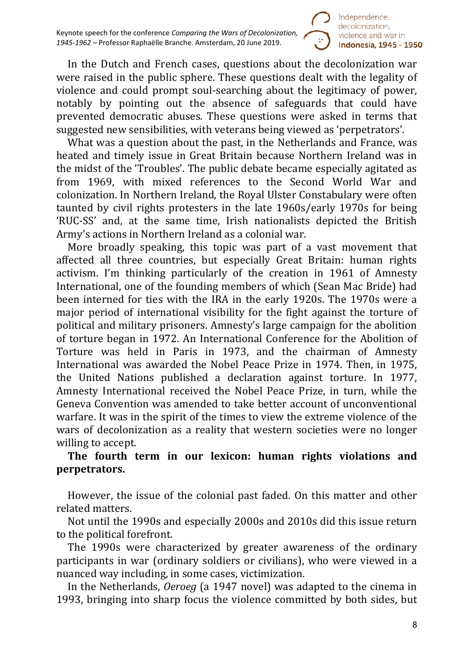

In the Dutch and French cases, questions about the decolonization war were raised in the public sphere. These questions dealt with the legality of violence and could prompt soul-searching about the legitimacy of power, notably by pointing out the absence of safeguards that could have prevented democratic abuses. These questions were asked in terms that suggested new sensibilities, with veterans being viewed as 'perpetrators'.

What was a question about the past, in the Netherlands and France, was heated and timely issue in Great Britain because Northern Ireland was in the midst of the 'Troubles'. The public debate became especially agitated as from 1969, with mixed references to the Second World War and colonization. In Northern Ireland, the Royal Ulster Constabulary were often taunted by civil rights protesters in the late 1960s/early 1970s for being 'RUC-SS' and, at the same time, Irish nationalists depicted the British Army's actions in Northern Ireland as a colonial war.

More broadly speaking, this topic was part of a vast movement that affected all three countries, but especially Great Britain: human rights activism. I'm thinking particularly of the creation in 1961 of Amnesty International, one of the founding members of which (Sean Mac Bride) had been interned for ties with the IRA in the early 1920s. The 1970s were a major period of international visibility for the fight against the torture of political and military prisoners. Amnesty's large campaign for the abolition of torture began in 1972. An International Conference for the Abolition of Torture was held in Paris in 1973, and the chairman of Amnesty International was awarded the Nobel Peace Prize in 1974. Then, in 1975, the United Nations published a declaration against torture. In 1977, Amnesty International received the Nobel Peace Prize, in turn, while the Geneva Convention was amended to take better account of unconventional warfare. It was in the spirit of the times to view the extreme violence of the wars of decolonization as a reality that western societies were no longer willing to accept.

## **The fourth term in our lexicon: human rights violations and perpetrators.**

However, the issue of the colonial past faded. On this matter and other related matters.

Not until the 1990s and especially 2000s and 2010s did this issue return to the political forefront.

The 1990s were characterized by greater awareness of the ordinary participants in war (ordinary soldiers or civilians), who were viewed in a nuanced way including, in some cases, victimization.

In the Netherlands, *Oeroeg* (a 1947 novel) was adapted to the cinema in 1993, bringing into sharp focus the violence committed by both sides, but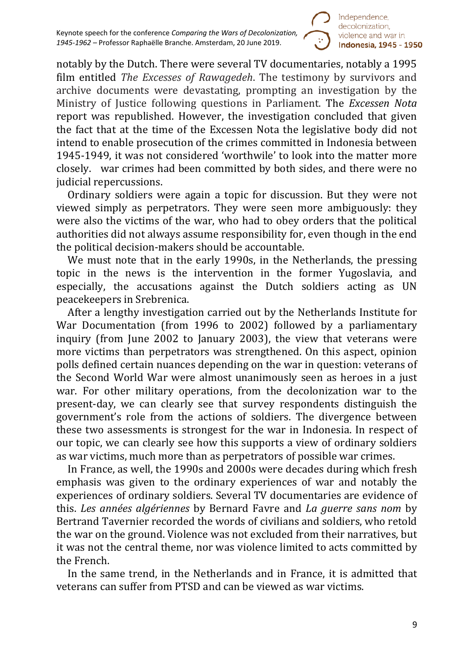

notably by the Dutch. There were several TV documentaries, notably a 1995 film entitled *The Excesses of Rawagedeh*. The testimony by survivors and archive documents were devastating, prompting an investigation by the Ministry of Justice following questions in Parliament. The *Excessen Nota* report was republished. However, the investigation concluded that given the fact that at the time of the Excessen Nota the legislative body did not intend to enable prosecution of the crimes committed in Indonesia between 1945-1949, it was not considered 'worthwile' to look into the matter more closely. war crimes had been committed by both sides, and there were no judicial repercussions.

Ordinary soldiers were again a topic for discussion. But they were not viewed simply as perpetrators. They were seen more ambiguously: they were also the victims of the war, who had to obey orders that the political authorities did not always assume responsibility for, even though in the end the political decision-makers should be accountable.

We must note that in the early 1990s, in the Netherlands, the pressing topic in the news is the intervention in the former Yugoslavia, and especially, the accusations against the Dutch soldiers acting as UN peacekeepers in Srebrenica.

After a lengthy investigation carried out by the Netherlands Institute for War Documentation (from 1996 to 2002) followed by a parliamentary inquiry (from June 2002 to January 2003), the view that veterans were more victims than perpetrators was strengthened. On this aspect, opinion polls defined certain nuances depending on the war in question: veterans of the Second World War were almost unanimously seen as heroes in a just war. For other military operations, from the decolonization war to the present-day, we can clearly see that survey respondents distinguish the government's role from the actions of soldiers. The divergence between these two assessments is strongest for the war in Indonesia. In respect of our topic, we can clearly see how this supports a view of ordinary soldiers as war victims, much more than as perpetrators of possible war crimes.

In France, as well, the 1990s and 2000s were decades during which fresh emphasis was given to the ordinary experiences of war and notably the experiences of ordinary soldiers. Several TV documentaries are evidence of this. *Les années algériennes* by Bernard Favre and *La guerre sans nom* by Bertrand Tavernier recorded the words of civilians and soldiers, who retold the war on the ground. Violence was not excluded from their narratives, but it was not the central theme, nor was violence limited to acts committed by the French.

In the same trend, in the Netherlands and in France, it is admitted that veterans can suffer from PTSD and can be viewed as war victims.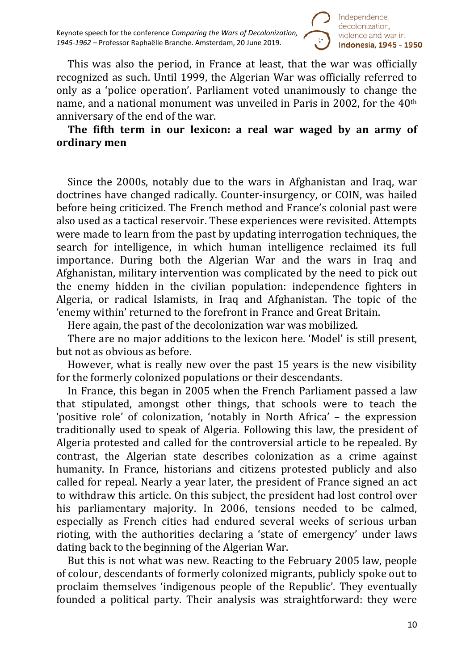Keynote speech for the conference *Comparing the Wars of Decolonization, 1945-1962 –* Professor Raphaëlle Branche. Amsterdam, 20 June 2019.



This was also the period, in France at least, that the war was officially recognized as such. Until 1999, the Algerian War was officially referred to only as a 'police operation'. Parliament voted unanimously to change the name, and a national monument was unveiled in Paris in 2002, for the 40th anniversary of the end of the war.

### **The fifth term in our lexicon: a real war waged by an army of ordinary men**

Since the 2000s, notably due to the wars in Afghanistan and Iraq, war doctrines have changed radically. Counter-insurgency, or COIN, was hailed before being criticized. The French method and France's colonial past were also used as a tactical reservoir. These experiences were revisited. Attempts were made to learn from the past by updating interrogation techniques, the search for intelligence, in which human intelligence reclaimed its full importance. During both the Algerian War and the wars in Iraq and Afghanistan, military intervention was complicated by the need to pick out the enemy hidden in the civilian population: independence fighters in Algeria, or radical Islamists, in Iraq and Afghanistan. The topic of the 'enemy within' returned to the forefront in France and Great Britain.

Here again, the past of the decolonization war was mobilized.

There are no major additions to the lexicon here. 'Model' is still present, but not as obvious as before.

However, what is really new over the past 15 years is the new visibility for the formerly colonized populations or their descendants.

In France, this began in 2005 when the French Parliament passed a law that stipulated, amongst other things, that schools were to teach the 'positive role' of colonization, 'notably in North Africa' – the expression traditionally used to speak of Algeria. Following this law, the president of Algeria protested and called for the controversial article to be repealed. By contrast, the Algerian state describes colonization as a crime against humanity. In France, historians and citizens protested publicly and also called for repeal. Nearly a year later, the president of France signed an act to withdraw this article. On this subject, the president had lost control over his parliamentary majority. In 2006, tensions needed to be calmed, especially as French cities had endured several weeks of serious urban rioting, with the authorities declaring a 'state of emergency' under laws dating back to the beginning of the Algerian War.

But this is not what was new. Reacting to the February 2005 law, people of colour, descendants of formerly colonized migrants, publicly spoke out to proclaim themselves 'indigenous people of the Republic'. They eventually founded a political party. Their analysis was straightforward: they were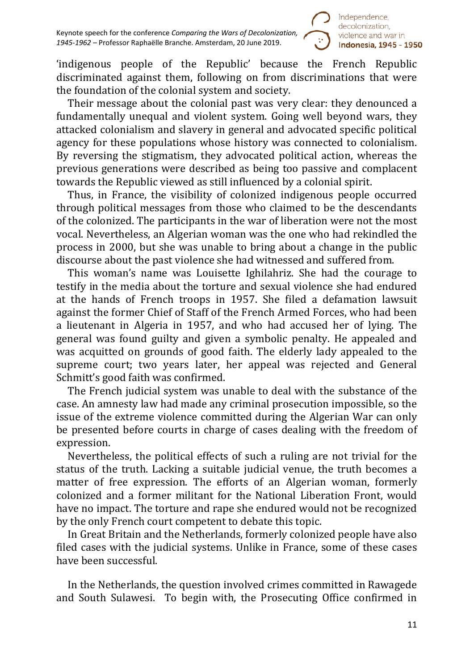

'indigenous people of the Republic' because the French Republic discriminated against them, following on from discriminations that were the foundation of the colonial system and society.

Their message about the colonial past was very clear: they denounced a fundamentally unequal and violent system. Going well beyond wars, they attacked colonialism and slavery in general and advocated specific political agency for these populations whose history was connected to colonialism. By reversing the stigmatism, they advocated political action, whereas the previous generations were described as being too passive and complacent towards the Republic viewed as still influenced by a colonial spirit.

Thus, in France, the visibility of colonized indigenous people occurred through political messages from those who claimed to be the descendants of the colonized. The participants in the war of liberation were not the most vocal. Nevertheless, an Algerian woman was the one who had rekindled the process in 2000, but she was unable to bring about a change in the public discourse about the past violence she had witnessed and suffered from.

This woman's name was Louisette Ighilahriz. She had the courage to testify in the media about the torture and sexual violence she had endured at the hands of French troops in 1957. She filed a defamation lawsuit against the former Chief of Staff of the French Armed Forces, who had been a lieutenant in Algeria in 1957, and who had accused her of lying. The general was found guilty and given a symbolic penalty. He appealed and was acquitted on grounds of good faith. The elderly lady appealed to the supreme court; two years later, her appeal was rejected and General Schmitt's good faith was confirmed.

The French judicial system was unable to deal with the substance of the case. An amnesty law had made any criminal prosecution impossible, so the issue of the extreme violence committed during the Algerian War can only be presented before courts in charge of cases dealing with the freedom of expression.

Nevertheless, the political effects of such a ruling are not trivial for the status of the truth. Lacking a suitable judicial venue, the truth becomes a matter of free expression. The efforts of an Algerian woman, formerly colonized and a former militant for the National Liberation Front, would have no impact. The torture and rape she endured would not be recognized by the only French court competent to debate this topic.

In Great Britain and the Netherlands, formerly colonized people have also filed cases with the judicial systems. Unlike in France, some of these cases have been successful.

In the Netherlands, the question involved crimes committed in Rawagede and South Sulawesi. To begin with, the Prosecuting Office confirmed in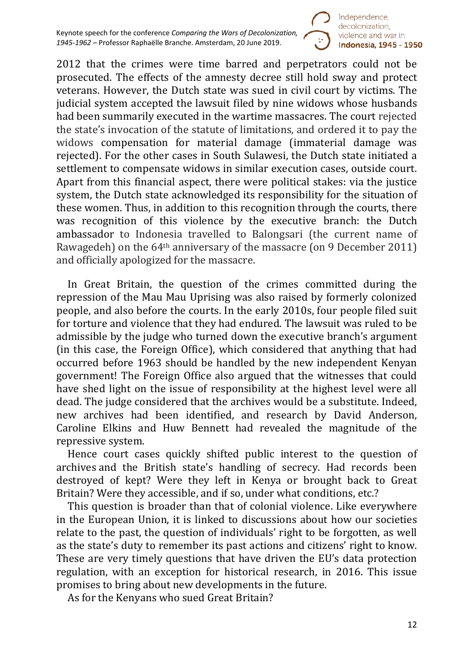

2012 that the crimes were time barred and perpetrators could not be prosecuted. The effects of the amnesty decree still hold sway and protect veterans. However, the Dutch state was sued in civil court by victims. The judicial system accepted the lawsuit filed by nine widows whose husbands had been summarily executed in the wartime massacres. The court rejected the state's invocation of the statute of limitations, and ordered it to pay the widows compensation for material damage (immaterial damage was rejected). For the other cases in South Sulawesi, the Dutch state initiated a settlement to compensate widows in similar execution cases, outside court. Apart from this financial aspect, there were political stakes: via the justice system, the Dutch state acknowledged its responsibility for the situation of these women. Thus, in addition to this recognition through the courts, there was recognition of this violence by the executive branch: the Dutch ambassador to Indonesia travelled to Balongsari (the current name of Rawagedeh) on the 64th anniversary of the massacre (on 9 December 2011) and officially apologized for the massacre.

In Great Britain, the question of the crimes committed during the repression of the Mau Mau Uprising was also raised by formerly colonized people, and also before the courts. In the early 2010s, four people filed suit for torture and violence that they had endured. The lawsuit was ruled to be admissible by the judge who turned down the executive branch's argument (in this case, the Foreign Office), which considered that anything that had occurred before 1963 should be handled by the new independent Kenyan government! The Foreign Office also argued that the witnesses that could have shed light on the issue of responsibility at the highest level were all dead. The judge considered that the archives would be a substitute. Indeed, new archives had been identified, and research by David Anderson, Caroline Elkins and Huw Bennett had revealed the magnitude of the repressive system.

Hence court cases quickly shifted public interest to the question of archives and the British state's handling of secrecy. Had records been destroyed of kept? Were they left in Kenya or brought back to Great Britain? Were they accessible, and if so, under what conditions, etc.?

This question is broader than that of colonial violence. Like everywhere in the European Union, it is linked to discussions about how our societies relate to the past, the question of individuals' right to be forgotten, as well as the state's duty to remember its past actions and citizens' right to know. These are very timely questions that have driven the EU's data protection regulation, with an exception for historical research, in 2016. This issue promises to bring about new developments in the future.

As for the Kenyans who sued Great Britain?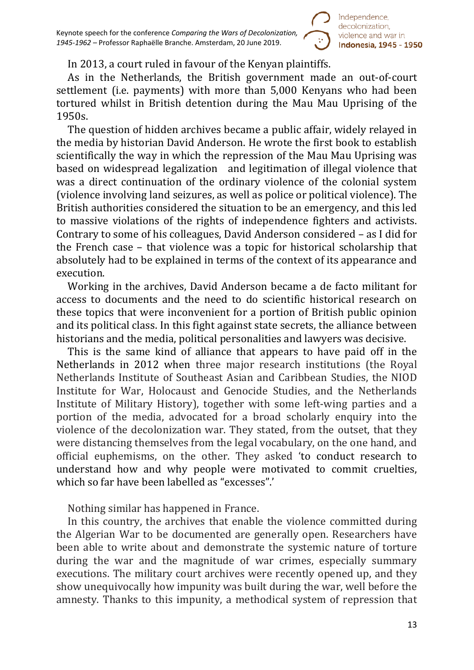

### In 2013, a court ruled in favour of the Kenyan plaintiffs.

As in the Netherlands, the British government made an out-of-court settlement (i.e. payments) with more than 5,000 Kenyans who had been tortured whilst in British detention during the Mau Mau Uprising of the 1950s.

The question of hidden archives became a public affair, widely relayed in the media by historian David Anderson. He wrote the first book to establish scientifically the way in which the repression of the Mau Mau Uprising was based on widespread legalization and legitimation of illegal violence that was a direct continuation of the ordinary violence of the colonial system (violence involving land seizures, as well as police or political violence). The British authorities considered the situation to be an emergency, and this led to massive violations of the rights of independence fighters and activists. Contrary to some of his colleagues, David Anderson considered – as I did for the French case – that violence was a topic for historical scholarship that absolutely had to be explained in terms of the context of its appearance and execution.

Working in the archives, David Anderson became a de facto militant for access to documents and the need to do scientific historical research on these topics that were inconvenient for a portion of British public opinion and its political class. In this fight against state secrets, the alliance between historians and the media, political personalities and lawyers was decisive.

This is the same kind of alliance that appears to have paid off in the Netherlands in 2012 when three major research institutions (the Royal Netherlands Institute of Southeast Asian and Caribbean Studies, the NIOD Institute for War, Holocaust and Genocide Studies, and the Netherlands Institute of Military History), together with some left-wing parties and a portion of the media, advocated for a broad scholarly enquiry into the violence of the decolonization war. They stated, from the outset, that they were distancing themselves from the legal vocabulary, on the one hand, and official euphemisms, on the other. They asked 'to conduct research to understand how and why people were motivated to commit cruelties, which so far have been labelled as "excesses".'

Nothing similar has happened in France.

In this country, the archives that enable the violence committed during the Algerian War to be documented are generally open. Researchers have been able to write about and demonstrate the systemic nature of torture during the war and the magnitude of war crimes, especially summary executions. The military court archives were recently opened up, and they show unequivocally how impunity was built during the war, well before the amnesty. Thanks to this impunity, a methodical system of repression that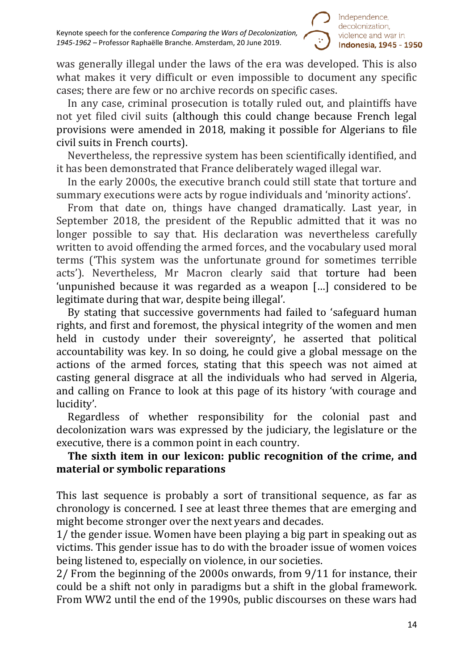

was generally illegal under the laws of the era was developed. This is also what makes it very difficult or even impossible to document any specific cases; there are few or no archive records on specific cases.

In any case, criminal prosecution is totally ruled out, and plaintiffs have not yet filed civil suits (although this could change because French legal provisions were amended in 2018, making it possible for Algerians to file civil suits in French courts).

Nevertheless, the repressive system has been scientifically identified, and it has been demonstrated that France deliberately waged illegal war.

In the early 2000s, the executive branch could still state that torture and summary executions were acts by rogue individuals and 'minority actions'.

From that date on, things have changed dramatically. Last year, in September 2018, the president of the Republic admitted that it was no longer possible to say that. His declaration was nevertheless carefully written to avoid offending the armed forces, and the vocabulary used moral terms ('This system was the unfortunate ground for sometimes terrible acts'). Nevertheless, Mr Macron clearly said that torture had been 'unpunished because it was regarded as a weapon […] considered to be legitimate during that war, despite being illegal'.

By stating that successive governments had failed to 'safeguard human rights, and first and foremost, the physical integrity of the women and men held in custody under their sovereignty', he asserted that political accountability was key. In so doing, he could give a global message on the actions of the armed forces, stating that this speech was not aimed at casting general disgrace at all the individuals who had served in Algeria, and calling on France to look at this page of its history 'with courage and lucidity'.

Regardless of whether responsibility for the colonial past and decolonization wars was expressed by the judiciary, the legislature or the executive, there is a common point in each country.

# **The sixth item in our lexicon: public recognition of the crime, and material or symbolic reparations**

This last sequence is probably a sort of transitional sequence, as far as chronology is concerned. I see at least three themes that are emerging and might become stronger over the next years and decades.

1/ the gender issue. Women have been playing a big part in speaking out as victims. This gender issue has to do with the broader issue of women voices being listened to, especially on violence, in our societies.

2/ From the beginning of the 2000s onwards, from 9/11 for instance, their could be a shift not only in paradigms but a shift in the global framework. From WW2 until the end of the 1990s, public discourses on these wars had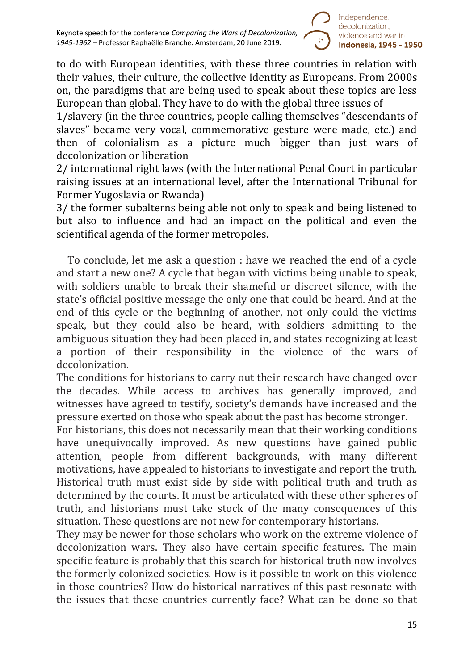

to do with European identities, with these three countries in relation with their values, their culture, the collective identity as Europeans. From 2000s on, the paradigms that are being used to speak about these topics are less European than global. They have to do with the global three issues of

1/slavery (in the three countries, people calling themselves "descendants of slaves" became very vocal, commemorative gesture were made, etc.) and then of colonialism as a picture much bigger than just wars of decolonization or liberation

2/ international right laws (with the International Penal Court in particular raising issues at an international level, after the International Tribunal for Former Yugoslavia or Rwanda)

3/ the former subalterns being able not only to speak and being listened to but also to influence and had an impact on the political and even the scientifical agenda of the former metropoles.

To conclude, let me ask a question : have we reached the end of a cycle and start a new one? A cycle that began with victims being unable to speak, with soldiers unable to break their shameful or discreet silence, with the state's official positive message the only one that could be heard. And at the end of this cycle or the beginning of another, not only could the victims speak, but they could also be heard, with soldiers admitting to the ambiguous situation they had been placed in, and states recognizing at least a portion of their responsibility in the violence of the wars of decolonization.

The conditions for historians to carry out their research have changed over the decades. While access to archives has generally improved, and witnesses have agreed to testify, society's demands have increased and the pressure exerted on those who speak about the past has become stronger.

For historians, this does not necessarily mean that their working conditions have unequivocally improved. As new questions have gained public attention, people from different backgrounds, with many different motivations, have appealed to historians to investigate and report the truth. Historical truth must exist side by side with political truth and truth as determined by the courts. It must be articulated with these other spheres of truth, and historians must take stock of the many consequences of this situation. These questions are not new for contemporary historians.

They may be newer for those scholars who work on the extreme violence of decolonization wars. They also have certain specific features. The main specific feature is probably that this search for historical truth now involves the formerly colonized societies. How is it possible to work on this violence in those countries? How do historical narratives of this past resonate with the issues that these countries currently face? What can be done so that